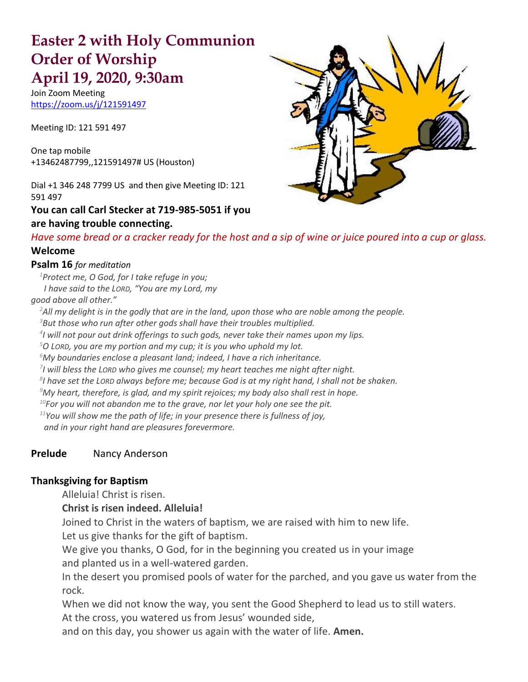# **Easter 2 with Holy Communion Order of Worship April 19, 2020, 9:30am**

Join Zoom Meeting [https://zoom.us/j/121591497](about:blank)

Meeting ID: 121 591 497

One tap mobile +13462487799,,121591497# US (Houston)

Dial +1 346 248 7799 US and then give Meeting ID: 121 591 497

#### **You can call Carl Stecker at 719-985-5051 if you are having trouble connecting.**



*Have some bread or a cracker ready for the host and a sip of wine or juice poured into a cup or glass.* **Welcome** 

# **Psalm 16** *for meditation*

*<sup>1</sup>Protect me, O God, for I take refuge in you; I have said to the LORD, "You are my Lord, my good above all other."* 

*<sup>2</sup>All my delight is in the godly that are in the land, upon those who are noble among the people.*

*<sup>3</sup>But those who run after other gods shall have their troubles multiplied.*

*4 I will not pour out drink offerings to such gods, never take their names upon my lips.*

*<sup>5</sup>O LORD, you are my portion and my cup; it is you who uphold my lot.*

*<sup>6</sup>My boundaries enclose a pleasant land; indeed, I have a rich inheritance.*

*7 I will bless the LORD who gives me counsel; my heart teaches me night after night.*

*8 I have set the LORD always before me; because God is at my right hand, I shall not be shaken.*

*<sup>9</sup>My heart, therefore, is glad, and my spirit rejoices; my body also shall rest in hope.*

*<sup>10</sup>For you will not abandon me to the grave, nor let your holy one see the pit.*

*<sup>11</sup>You will show me the path of life; in your presence there is fullness of joy, and in your right hand are pleasures forevermore.*

### **Prelude** Nancy Anderson

#### **Thanksgiving for Baptism**

Alleluia! Christ is risen.

#### **Christ is risen indeed. Alleluia!**

Joined to Christ in the waters of baptism, we are raised with him to new life. Let us give thanks for the gift of baptism.

We give you thanks, O God, for in the beginning you created us in your image and planted us in a well-watered garden.

In the desert you promised pools of water for the parched, and you gave us water from the rock.

When we did not know the way, you sent the Good Shepherd to lead us to still waters. At the cross, you watered us from Jesus' wounded side,

and on this day, you shower us again with the water of life. **Amen.**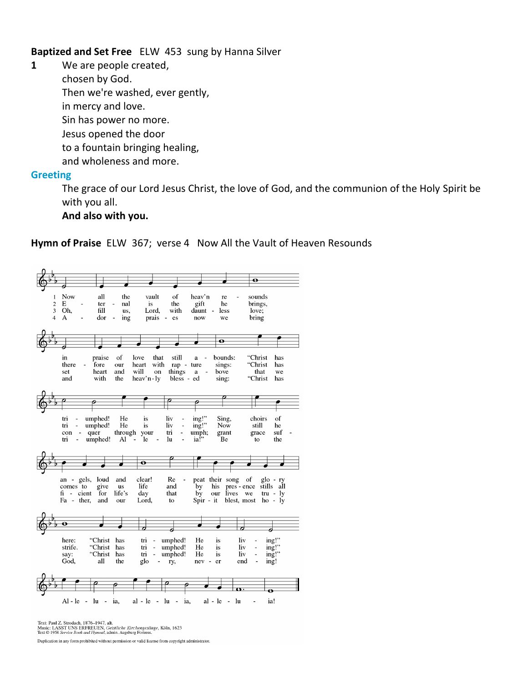**Baptized and Set Free** ELW 453 sung by Hanna Silver

**1** We are people created, chosen by God. Then we're washed, ever gently, in mercy and love. Sin has power no more. Jesus opened the door to a fountain bringing healing, and wholeness and more. **Greeting**

> The grace of our Lord Jesus Christ, the love of God, and the communion of the Holy Spirit be with you all.

#### **And also with you.**

 $\overline{\bullet}$  $\mathbf{1}$ Now all the vault  $\delta$ heav'n re sounds  $\frac{2}{3}$  $\mathbf{E}$ gift brings, nal ter  $1S$ the he  $\overline{O}h$ , Lord,  $f<sub>11</sub>$ us, with daunt  $\mathbf{r}$ less  $love:$  $\overline{A}$  $\mathbf{r}$  $\overline{A}$ dor ing prais es now we bring  $\overline{\bullet}$ "Christ in praise of love that still a  $\overline{a}$ bounds: has there fore.  $_{\text{our}}$ heart with ran - ture sings: "Christ has things will that set heart and a. we on. bove "Christ has and with the heav'n-ly bless - ed sing: ▱ umphed! He liv ing!" Sing, of  $\mathop{\mathrm{tri}}$  $\sim$ is choirs  $\frac{mg}{mg}$ Now tri  $\sim$ umphed! He  $\mathbf{is}% =\mathbf{v}^{\prime}+\mathbf{v}^{\prime}+\mathbf{v}^{\prime}+\mathbf{v}^{\prime}+\mathbf{v}^{\prime}+\mathbf{v}+\mathbf{v}^{\prime}+\mathbf{v}+\mathbf{v}+\mathbf{v}+\mathbf{v}+\mathbf{v}+\mathbf{v}+\mathbf{v}+\mathbf{v}+\mathbf{v}+\mathbf{v}+\mathbf{v}+\mathbf{v}+\mathbf{v}+\mathbf{v}+\mathbf{v}+\mathbf{v}+\mathbf{v}+\mathbf{v}+\mathbf{v}+\mathbf{v}+\mathbf{v}+\mathbf{v}+\mathbf{v}+\mathbf{v}+\mathbf$ liv  $\overline{a}$ still he  $\frac{mp}{ia!}$  $<sub>grant</sub>$ </sub>  $con$ through your  $_{\rm tri}$  $\mathbb{Z}^d$  $\mathbf{u}$ f  $\overline{a}$ quer grace  $\overline{\text{tri}}$  umphed!  $\mathbf{A}$  $\epsilon$  $\ln$ Вe the to  $\overline{\bullet}$ an  $$ gels, loud and clear!  $\rm Re$ peat their song  $_{\mathrm{of}}$ glo - ry<br>stills all comes to give **us** life and by his pres - ence  $fi - \text{cient}$  for life's day that  $\dot{by}$ our lives we  $tru - ly$ Fa - ther, Lord, blest, most  $ho - iy$ and our  $\mathop{\mathrm{to}}$ Spir  $-it$  $\overline{\phantom{0}}$ ┙ ┙  $\text{ing}$ " "Christ has umphed! liv here:  $tr1$  $\sim$ He is  $\frac{mg}{mg}$ strife. "Christ has  $\mathop{\mathrm{tri}}$  $\sim$ umphed! He is. liv  $\sim$  $\frac{mg}{mg}$ . say:<br>God, "Christ has  $\mathbb{Z}$  $\mathop{\mathrm{tri}}$ umphed! He  $\mathbf{1}\mathbf{S}$ liv  $\mathbf{r}$ all the glo ry, nev  $er$ end ing!  $\sim$  $\overline{a}$ Al-le - lu - ia,  $al - le 1<sub>u</sub>$ ia!  $al - le - lu - ia$ ,  $\overline{a}$ 

**Hymn of Praise** ELW 367; verse 4 Now All the Vault of Heaven Resounds

Text: Paul Z. Strodach, 1876–1947, alt.<br>Music: LASST UNS ERFREUEN, *Geistliche Kirchengesänge*, Köln, 1623<br>Text © 1958 *Service Book and Hymnal*, admin. Augsburg Fortress.

Duplication in any form prohibited without permission or valid license from copyright administrator.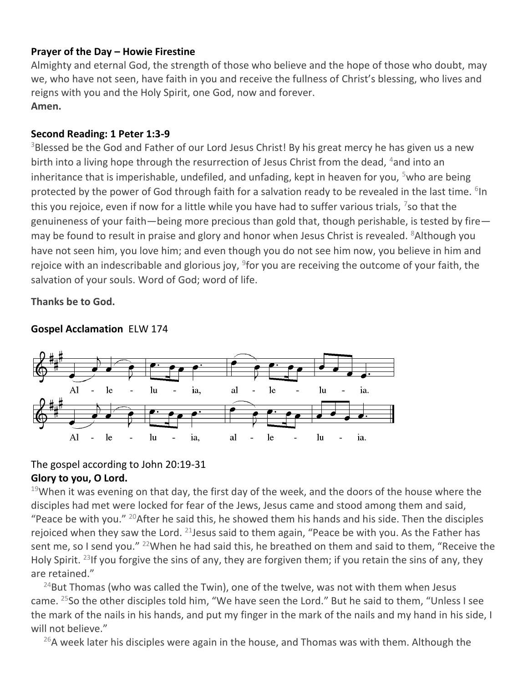## **Prayer of the Day – Howie Firestine**

Almighty and eternal God, the strength of those who believe and the hope of those who doubt, may we, who have not seen, have faith in you and receive the fullness of Christ's blessing, who lives and reigns with you and the Holy Spirit, one God, now and forever. **Amen.**

## **Second Reading: 1 Peter 1:3-9**

<sup>3</sup>Blessed be the God and Father of our Lord Jesus Christ! By his great mercy he has given us a new birth into a living hope through the resurrection of Jesus Christ from the dead,  $4$  and into an inheritance that is imperishable, undefiled, and unfading, kept in heaven for you,  $5$ who are being protected by the power of God through faith for a salvation ready to be revealed in the last time. <sup>6</sup>In this you rejoice, even if now for a little while you have had to suffer various trials, <sup>7</sup>so that the genuineness of your faith—being more precious than gold that, though perishable, is tested by fire may be found to result in praise and glory and honor when Jesus Christ is revealed. <sup>8</sup>Although you have not seen him, you love him; and even though you do not see him now, you believe in him and rejoice with an indescribable and glorious joy,  $9$  for you are receiving the outcome of your faith, the salvation of your souls. Word of God; word of life.

**Thanks be to God.**



### **Gospel Acclamation** ELW 174

# The gospel according to John 20:19-31

### **Glory to you, O Lord.**

 $19$ When it was evening on that day, the first day of the week, and the doors of the house where the disciples had met were locked for fear of the Jews, Jesus came and stood among them and said, "Peace be with you."  $^{20}$ After he said this, he showed them his hands and his side. Then the disciples rejoiced when they saw the Lord.  $21$  Jesus said to them again, "Peace be with you. As the Father has sent me, so I send you." <sup>22</sup>When he had said this, he breathed on them and said to them, "Receive the Holy Spirit. <sup>23</sup>If you forgive the sins of any, they are forgiven them; if you retain the sins of any, they are retained."

 $24$ But Thomas (who was called the Twin), one of the twelve, was not with them when Jesus came.  $25$ So the other disciples told him, "We have seen the Lord." But he said to them, "Unless I see the mark of the nails in his hands, and put my finger in the mark of the nails and my hand in his side, I will not believe."

 $26A$  week later his disciples were again in the house, and Thomas was with them. Although the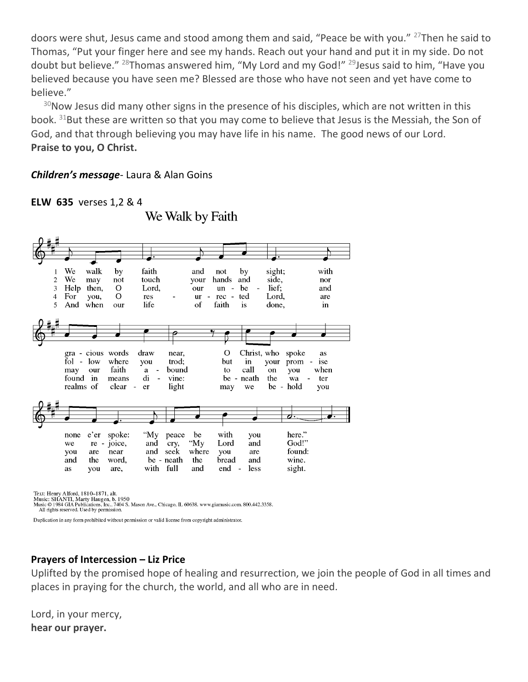doors were shut, Jesus came and stood among them and said, "Peace be with you." <sup>27</sup>Then he said to Thomas, "Put your finger here and see my hands. Reach out your hand and put it in my side. Do not doubt but believe." <sup>28</sup>Thomas answered him, "My Lord and my God!" <sup>29</sup>Jesus said to him, "Have you believed because you have seen me? Blessed are those who have not seen and yet have come to believe."

 $30$ Now Jesus did many other signs in the presence of his disciples, which are not written in this book. <sup>31</sup>But these are written so that you may come to believe that Jesus is the Messiah, the Son of God, and that through believing you may have life in his name. The good news of our Lord. **Praise to you, O Christ.**

#### *Children's message*- Laura & Alan Goins

**ELW 635** verses 1,2 & 4

We Walk by Faith



Text: Henry Alford, 1810–1871, alt.<br>Music: SHANTI, Marty Haugen, b. 1950<br>Music © 1984 GIA Publications, Inc., 7404 S. Mason Ave., Chicago, IL 60638. www.giamusic.com. 800.442.3358.

All rights reserved. Used by permission.

Duplication in any form prohibited without permission or valid license from copyright administrator.

# **Prayers of Intercession – Liz Price**

Uplifted by the promised hope of healing and resurrection, we join the people of God in all times and places in praying for the church, the world, and all who are in need.

Lord, in your mercy, **hear our prayer.**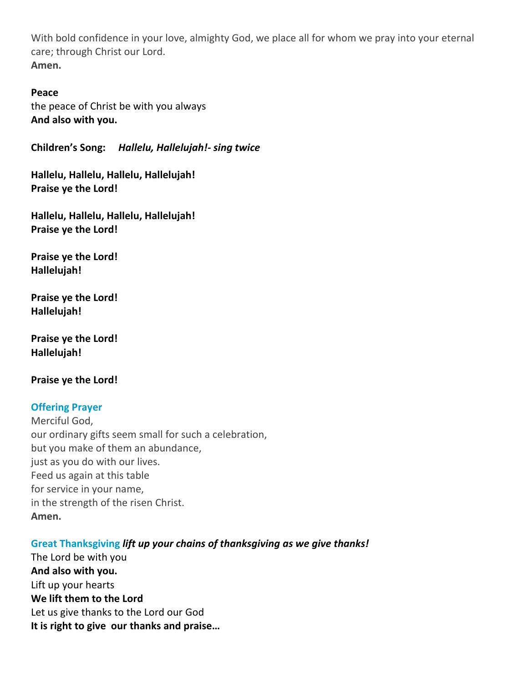With bold confidence in your love, almighty God, we place all for whom we pray into your eternal care; through Christ our Lord. **Amen.**

#### **Peace**

the peace of Christ be with you always **And also with you.**

**Children's Song:** *Hallelu, Hallelujah!- sing twice*

**Hallelu, Hallelu, Hallelu, Hallelujah! Praise ye the Lord!**

**Hallelu, Hallelu, Hallelu, Hallelujah! Praise ye the Lord!**

**Praise ye the Lord! Hallelujah!**

**Praise ye the Lord! Hallelujah!**

**Praise ye the Lord! Hallelujah!**

**Praise ye the Lord!** 

#### **Offering Prayer**

Merciful God, our ordinary gifts seem small for such a celebration, but you make of them an abundance, just as you do with our lives. Feed us again at this table for service in your name, in the strength of the risen Christ. **Amen.**

#### **Great Thanksgiving** *lift up your chains of thanksgiving as we give thanks!*

The Lord be with you **And also with you.** Lift up your hearts **We lift them to the Lord** Let us give thanks to the Lord our God **It is right to give our thanks and praise…**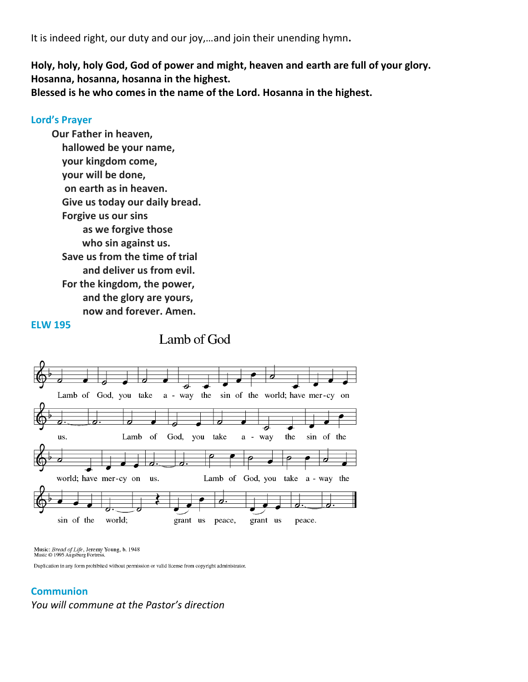It is indeed right, our duty and our joy,…and join their unending hymn**.**

**Holy, holy, holy God, God of power and might, heaven and earth are full of your glory. Hosanna, hosanna, hosanna in the highest.**

**Blessed is he who comes in the name of the Lord. Hosanna in the highest.**

#### **Lord's Prayer**

**Our Father in heaven, hallowed be your name, your kingdom come, your will be done, on earth as in heaven. Give us today our daily bread. Forgive us our sins as we forgive those who sin against us. Save us from the time of trial and deliver us from evil. For the kingdom, the power, and the glory are yours, now and forever. Amen.**

#### **ELW 195**

Lamb of God, you take a - way the sin of the world; have mer-cy on Lamb <sub>of</sub> God, you take the sin of the us. a - way world; have mer-cy on Lamb of God, you take a - way the us.  $\overline{\phantom{a}}$ sin of the world; grant us peace, grant us peace.

Lamb of God

Music: Bread of Life, Jeremy Young, b. 1948<br>Music © 1995 Augsburg Fortress.

Duplication in any form prohibited without permission or valid license from copyright administrator.

#### **Communion**

*You will commune at the Pastor's direction*